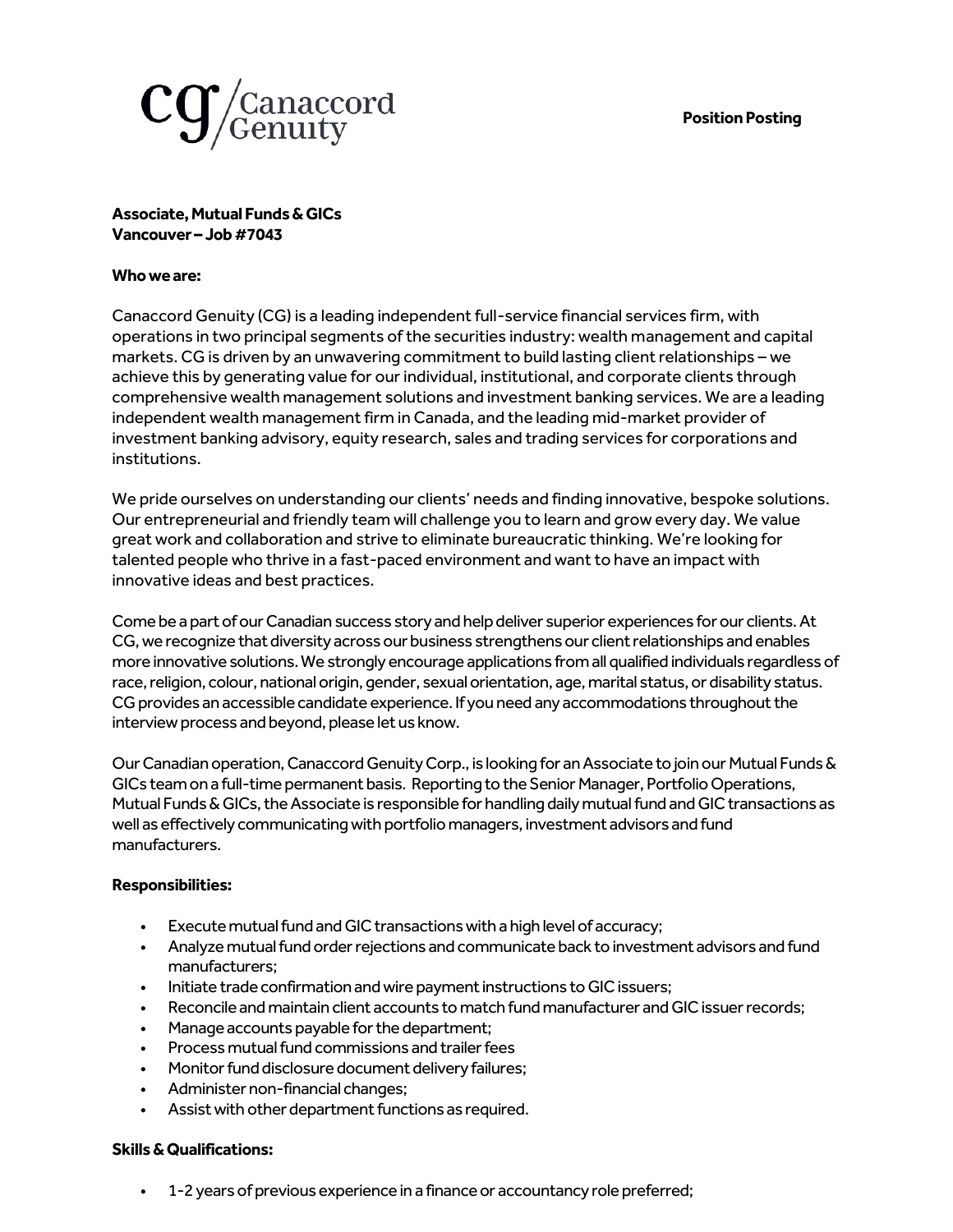## **Position Posting**



**Associate, Mutual Funds& GICs Vancouver – Job #7043**

## **Who we are:**

Canaccord Genuity (CG) is a leading independent full-service financial services firm, with operations in two principal segments of the securities industry: wealth management and capital markets. CG is driven by an unwavering commitment to build lasting client relationships – we achieve this by generating value for our individual, institutional, and corporate clients through comprehensive wealth management solutions and investment banking services. We are a leading independent wealth management firm in Canada, and the leading mid-market provider of investment banking advisory, equity research, sales and trading services for corporations and institutions.

We pride ourselves on understanding our clients' needs and finding innovative, bespoke solutions. Our entrepreneurial and friendly team will challenge you to learn and grow every day. We value great work and collaboration and strive to eliminate bureaucratic thinking. We're looking for talented people who thrive in a fast-paced environment and want to have an impact with innovative ideas and best practices.

Come be a part of our Canadian success story and help deliver superior experiences for our clients. At CG, we recognize that diversity across our business strengthens our client relationships and enables more innovative solutions. We strongly encourage applications from all qualified individuals regardless of race, religion, colour, national origin, gender, sexual orientation, age, marital status, or disability status. CG provides an accessible candidate experience. If you need any accommodations throughout the interview process and beyond, please let us know.

Our Canadian operation, Canaccord Genuity Corp., is looking for an Associate to join our Mutual Funds & GICs team on a full-time permanent basis. Reporting to the Senior Manager, Portfolio Operations, Mutual Funds & GICs, the Associate is responsible for handling daily mutual fund and GIC transactions as well as effectively communicating with portfolio managers, investment advisors and fund manufacturers.

## **Responsibilities:**

- Execute mutual fund and GIC transactions with a high level of accuracy;
- Analyze mutual fund order rejections and communicate back to investment advisors and fund manufacturers;
- Initiate trade confirmation and wire payment instructions to GIC issuers;
- Reconcile and maintain client accounts to match fund manufacturer and GIC issuer records;
- Manage accounts payable for the department;
- Process mutual fund commissions and trailer fees
- Monitor fund disclosure document delivery failures;
- Administer non-financial changes;
- Assist with other department functions as required.

## **Skills & Qualifications:**

• 1-2 years of previous experience in a finance or accountancy role preferred;